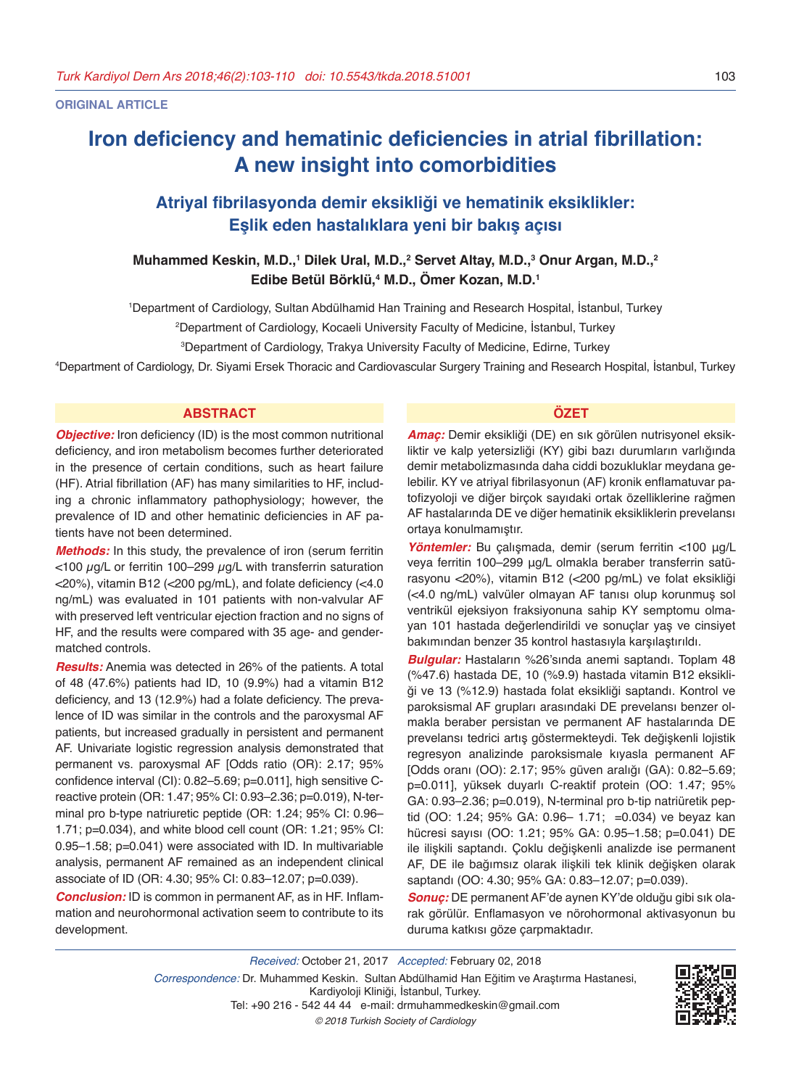**ORIGINAL ARTICLE**

# **Iron deficiency and hematinic deficiencies in atrial fibrillation: A new insight into comorbidities**

# **Atriyal fibrilasyonda demir eksikliği ve hematinik eksiklikler: Eşlik eden hastalıklara yeni bir bakış açısı**

**Muhammed Keskin, M.D.,<sup>1</sup> Dilek Ural, M.D.,<sup>2</sup> Servet Altay, M.D.,<sup>3</sup> Onur Argan, M.D.,<sup>2</sup> Edibe Betül Börklü,<sup>4</sup> M.D., Ömer Kozan, M.D.<sup>1</sup>**

1 Department of Cardiology, Sultan Abdülhamid Han Training and Research Hospital, İstanbul, Turkey

2 Department of Cardiology, Kocaeli University Faculty of Medicine, İstanbul, Turkey

3 Department of Cardiology, Trakya University Faculty of Medicine, Edirne, Turkey

4 Department of Cardiology, Dr. Siyami Ersek Thoracic and Cardiovascular Surgery Training and Research Hospital, İstanbul, Turkey

# **ABSTRACT ÖZET**

**Objective:** Iron deficiency (ID) is the most common nutritional deficiency, and iron metabolism becomes further deteriorated in the presence of certain conditions, such as heart failure (HF). Atrial fibrillation (AF) has many similarities to HF, including a chronic inflammatory pathophysiology; however, the prevalence of ID and other hematinic deficiencies in AF patients have not been determined.

*Methods:* In this study, the prevalence of iron (serum ferritin  $<$ 100  $\mu$ g/L or ferritin 100–299  $\mu$ g/L with transferrin saturation <20%), vitamin B12 (<200 pg/mL), and folate deficiency (<4.0 ng/mL) was evaluated in 101 patients with non-valvular AF with preserved left ventricular ejection fraction and no signs of HF, and the results were compared with 35 age- and gendermatched controls.

*Results:* Anemia was detected in 26% of the patients. A total of 48 (47.6%) patients had ID, 10 (9.9%) had a vitamin B12 deficiency, and 13 (12.9%) had a folate deficiency. The prevalence of ID was similar in the controls and the paroxysmal AF patients, but increased gradually in persistent and permanent AF. Univariate logistic regression analysis demonstrated that permanent vs. paroxysmal AF [Odds ratio (OR): 2.17; 95% confidence interval (CI): 0.82–5.69; p=0.011], high sensitive Creactive protein (OR: 1.47; 95% CI: 0.93–2.36; p=0.019), N-terminal pro b-type natriuretic peptide (OR: 1.24; 95% CI: 0.96– 1.71; p=0.034), and white blood cell count (OR: 1.21; 95% CI: 0.95–1.58; p=0.041) were associated with ID. In multivariable analysis, permanent AF remained as an independent clinical associate of ID (OR: 4.30; 95% CI: 0.83–12.07; p=0.039).

*Conclusion:* ID is common in permanent AF, as in HF. Inflammation and neurohormonal activation seem to contribute to its development.

*Amaç:* Demir eksikliği (DE) en sık görülen nutrisyonel eksikliktir ve kalp yetersizliği (KY) gibi bazı durumların varlığında demir metabolizmasında daha ciddi bozukluklar meydana gelebilir. KY ve atriyal fibrilasyonun (AF) kronik enflamatuvar patofizyoloji ve diğer birçok sayıdaki ortak özelliklerine rağmen AF hastalarında DE ve diğer hematinik eksikliklerin prevelansı ortaya konulmamıştır.

*Yöntemler:* Bu çalışmada, demir (serum ferritin <100 μg/L veya ferritin 100–299 μg/L olmakla beraber transferrin satürasyonu <20%), vitamin B12 (<200 pg/mL) ve folat eksikliği (<4.0 ng/mL) valvüler olmayan AF tanısı olup korunmuş sol ventrikül ejeksiyon fraksiyonuna sahip KY semptomu olmayan 101 hastada değerlendirildi ve sonuçlar yaş ve cinsiyet bakımından benzer 35 kontrol hastasıyla karşılaştırıldı.

*Bulgular:* Hastaların %26'sında anemi saptandı. Toplam 48 (%47.6) hastada DE, 10 (%9.9) hastada vitamin B12 eksikliği ve 13 (%12.9) hastada folat eksikliği saptandı. Kontrol ve paroksismal AF grupları arasındaki DE prevelansı benzer olmakla beraber persistan ve permanent AF hastalarında DE prevelansı tedrici artış göstermekteydi. Tek değişkenli lojistik regresyon analizinde paroksismale kıyasla permanent AF [Odds oranı (OO): 2.17; 95% güven aralığı (GA): 0.82–5.69; p=0.011], yüksek duyarlı C-reaktif protein (OO: 1.47; 95% GA: 0.93–2.36; p=0.019), N-terminal pro b-tip natriüretik peptid (OO: 1.24; 95% GA: 0.96– 1.71; =0.034) ve beyaz kan hücresi sayısı (OO: 1.21; 95% GA: 0.95–1.58; p=0.041) DE ile ilişkili saptandı. Çoklu değişkenli analizde ise permanent AF, DE ile bağımsız olarak ilişkili tek klinik değişken olarak saptandı (OO: 4.30; 95% GA: 0.83-12.07; p=0.039).

*Sonuç:* DE permanent AF'de aynen KY'de olduğu gibi sık olarak görülür. Enflamasyon ve nörohormonal aktivasyonun bu duruma katkısı göze çarpmaktadır.

*Received:* October 21, 2017 *Accepted:* February 02, 2018 *Correspondence:* Dr. Muhammed Keskin. Sultan Abdülhamid Han Eğitim ve Araştırma Hastanesi, Kardiyoloji Kliniği, İstanbul, Turkey. Tel: +90 216 - 542 44 44 e-mail: drmuhammedkeskin@gmail.com *© 2018 Turkish Society of Cardiology*

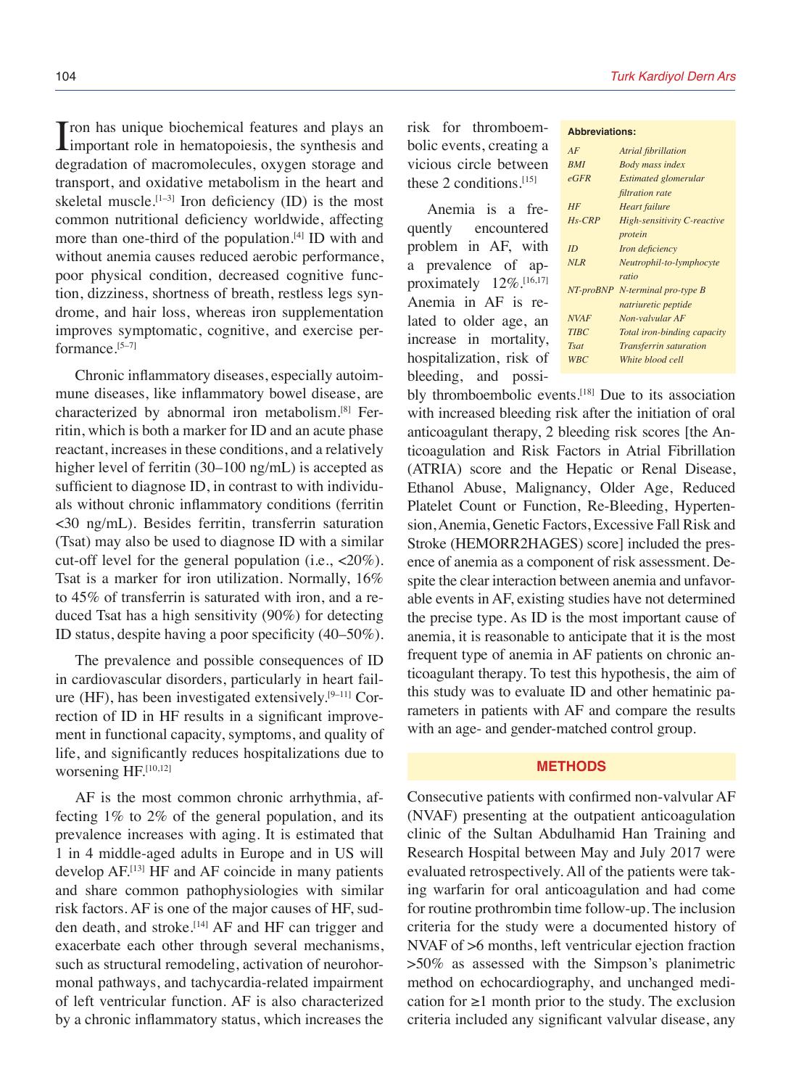I ron has unique biochemical features and plays and<br>important role in hematopoiesis, the synthesis and Tron has unique biochemical features and plays an degradation of macromolecules, oxygen storage and transport, and oxidative metabolism in the heart and skeletal muscle.<sup>[1–3]</sup> Iron deficiency (ID) is the most common nutritional deficiency worldwide, affecting more than one-third of the population.<sup>[4]</sup> ID with and without anemia causes reduced aerobic performance, poor physical condition, decreased cognitive function, dizziness, shortness of breath, restless legs syndrome, and hair loss, whereas iron supplementation improves symptomatic, cognitive, and exercise performance.[5–7]

Chronic inflammatory diseases, especially autoimmune diseases, like inflammatory bowel disease, are characterized by abnormal iron metabolism.[8] Ferritin, which is both a marker for ID and an acute phase reactant, increases in these conditions, and a relatively higher level of ferritin (30–100 ng/mL) is accepted as sufficient to diagnose ID, in contrast to with individuals without chronic inflammatory conditions (ferritin <30 ng/mL). Besides ferritin, transferrin saturation (Tsat) may also be used to diagnose ID with a similar cut-off level for the general population (i.e.,  $<20\%$ ). Tsat is a marker for iron utilization. Normally, 16% to 45% of transferrin is saturated with iron, and a reduced Tsat has a high sensitivity (90%) for detecting ID status, despite having a poor specificity (40–50%).

The prevalence and possible consequences of ID in cardiovascular disorders, particularly in heart failure (HF), has been investigated extensively.[9–11] Correction of ID in HF results in a significant improvement in functional capacity, symptoms, and quality of life, and significantly reduces hospitalizations due to worsening HF.<sup>[10,12]</sup>

AF is the most common chronic arrhythmia, affecting 1% to 2% of the general population, and its prevalence increases with aging. It is estimated that 1 in 4 middle-aged adults in Europe and in US will develop AF.[13] HF and AF coincide in many patients and share common pathophysiologies with similar risk factors. AF is one of the major causes of HF, sudden death, and stroke.<sup>[14]</sup> AF and HF can trigger and exacerbate each other through several mechanisms, such as structural remodeling, activation of neurohormonal pathways, and tachycardia-related impairment of left ventricular function. AF is also characterized by a chronic inflammatory status, which increases the risk for thromboembolic events, creating a vicious circle between these 2 conditions.[15]

Anemia is a frequently encountered problem in AF, with a prevalence of approximately 12%.[16,17] Anemia in AF is related to older age, an increase in mortality, hospitalization, risk of bleeding, and possi-

# 104 *Turk Kardiyol Dern Ars*

#### **Abbreviations:**

| AF          | Atrial fibrillation             |
|-------------|---------------------------------|
| <b>BMI</b>  | <b>Body mass index</b>          |
| eGFR        | Estimated glomerular            |
|             | filtration rate                 |
| HF          | <b>Heart</b> failure            |
| $Hs$ -CRP   | High-sensitivity C-reactive     |
|             | protein                         |
| ID          | Iron deficiency                 |
| NLR         | Neutrophil-to-lymphocyte        |
|             | ratio                           |
|             | NT-proBNP N-terminal pro-type B |
|             | natriuretic peptide             |
| <b>NVAF</b> | Non-valvular AF                 |
| <b>TIBC</b> | Total iron-binding capacity     |
| Tsat        | <b>Transferrin saturation</b>   |
| <b>WBC</b>  | White blood cell                |

bly thromboembolic events.<sup>[18]</sup> Due to its association with increased bleeding risk after the initiation of oral anticoagulant therapy, 2 bleeding risk scores [the Anticoagulation and Risk Factors in Atrial Fibrillation (ATRIA) score and the Hepatic or Renal Disease, Ethanol Abuse, Malignancy, Older Age, Reduced Platelet Count or Function, Re-Bleeding, Hypertension, Anemia, Genetic Factors, Excessive Fall Risk and Stroke (HEMORR2HAGES) score] included the presence of anemia as a component of risk assessment. Despite the clear interaction between anemia and unfavorable events in AF, existing studies have not determined the precise type. As ID is the most important cause of anemia, it is reasonable to anticipate that it is the most frequent type of anemia in AF patients on chronic anticoagulant therapy. To test this hypothesis, the aim of this study was to evaluate ID and other hematinic parameters in patients with AF and compare the results with an age- and gender-matched control group.

# **METHODS**

Consecutive patients with confirmed non-valvular AF (NVAF) presenting at the outpatient anticoagulation clinic of the Sultan Abdulhamid Han Training and Research Hospital between May and July 2017 were evaluated retrospectively. All of the patients were taking warfarin for oral anticoagulation and had come for routine prothrombin time follow-up. The inclusion criteria for the study were a documented history of NVAF of >6 months, left ventricular ejection fraction >50% as assessed with the Simpson's planimetric method on echocardiography, and unchanged medication for  $\geq 1$  month prior to the study. The exclusion criteria included any significant valvular disease, any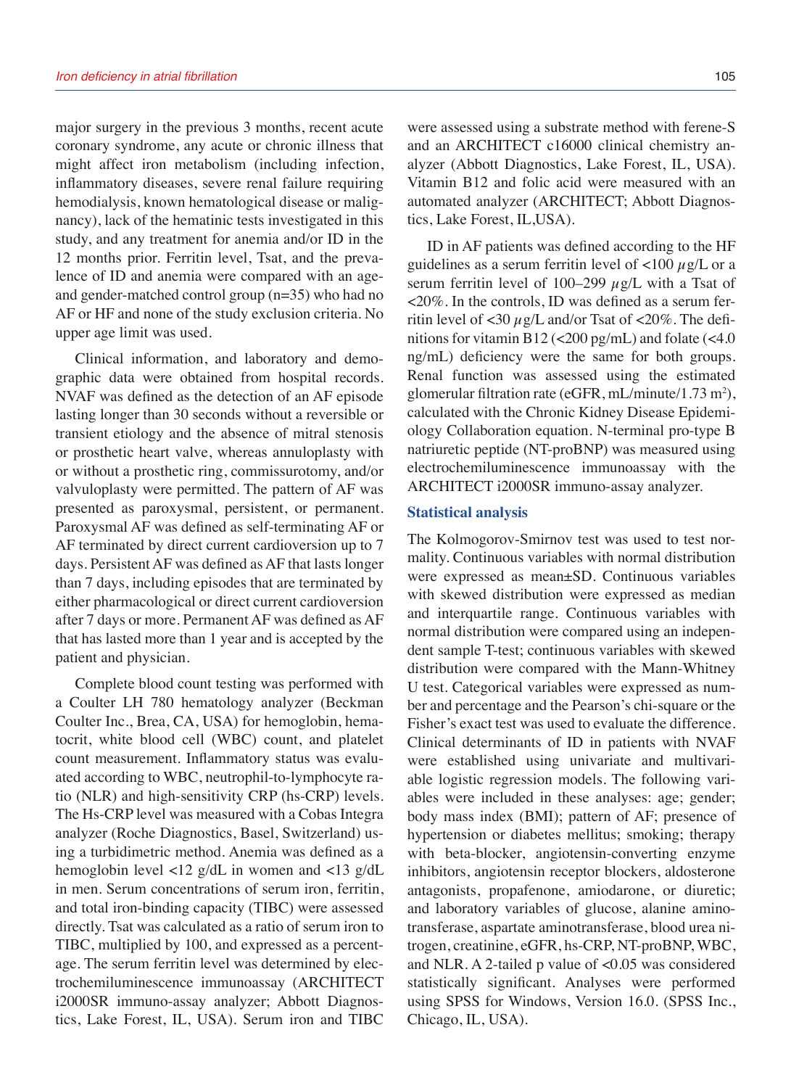major surgery in the previous 3 months, recent acute coronary syndrome, any acute or chronic illness that might affect iron metabolism (including infection, inflammatory diseases, severe renal failure requiring hemodialysis, known hematological disease or malignancy), lack of the hematinic tests investigated in this study, and any treatment for anemia and/or ID in the 12 months prior. Ferritin level, Tsat, and the prevalence of ID and anemia were compared with an ageand gender-matched control group (n=35) who had no AF or HF and none of the study exclusion criteria. No upper age limit was used.

Clinical information, and laboratory and demographic data were obtained from hospital records. NVAF was defined as the detection of an AF episode lasting longer than 30 seconds without a reversible or transient etiology and the absence of mitral stenosis or prosthetic heart valve, whereas annuloplasty with or without a prosthetic ring, commissurotomy, and/or valvuloplasty were permitted. The pattern of AF was presented as paroxysmal, persistent, or permanent. Paroxysmal AF was defined as self-terminating AF or AF terminated by direct current cardioversion up to 7 days. Persistent AF was defined as AF that lasts longer than 7 days, including episodes that are terminated by either pharmacological or direct current cardioversion after 7 days or more. Permanent AF was defined as AF that has lasted more than 1 year and is accepted by the patient and physician.

Complete blood count testing was performed with a Coulter LH 780 hematology analyzer (Beckman Coulter Inc., Brea, CA, USA) for hemoglobin, hematocrit, white blood cell (WBC) count, and platelet count measurement. Inflammatory status was evaluated according to WBC, neutrophil-to-lymphocyte ratio (NLR) and high-sensitivity CRP (hs-CRP) levels. The Hs-CRP level was measured with a Cobas Integra analyzer (Roche Diagnostics, Basel, Switzerland) using a turbidimetric method. Anemia was defined as a hemoglobin level <12 g/dL in women and <13 g/dL in men. Serum concentrations of serum iron, ferritin, and total iron-binding capacity (TIBC) were assessed directly. Tsat was calculated as a ratio of serum iron to TIBC, multiplied by 100, and expressed as a percentage. The serum ferritin level was determined by electrochemiluminescence immunoassay (ARCHITECT i2000SR immuno-assay analyzer; Abbott Diagnostics, Lake Forest, IL, USA). Serum iron and TIBC were assessed using a substrate method with ferene-S and an ARCHITECT c16000 clinical chemistry analyzer (Abbott Diagnostics, Lake Forest, IL, USA). Vitamin B12 and folic acid were measured with an automated analyzer (ARCHITECT; Abbott Diagnostics, Lake Forest, IL,USA).

ID in AF patients was defined according to the HF guidelines as a serum ferritin level of  $\langle 100 \mu g/L \rangle$  or a serum ferritin level of 100–299  $\mu$ g/L with a Tsat of <20%. In the controls, ID was defined as a serum ferritin level of  $\langle 30 \mu$ g/L and/or Tsat of  $\langle 20\% \rangle$ . The definitions for vitamin B12 (<200 pg/mL) and folate (<4.0 ng/mL) deficiency were the same for both groups. Renal function was assessed using the estimated glomerular filtration rate (eGFR, mL/minute/ $1.73 \text{ m}^2$ ), calculated with the Chronic Kidney Disease Epidemiology Collaboration equation. N-terminal pro-type B natriuretic peptide (NT-proBNP) was measured using electrochemiluminescence immunoassay with the ARCHITECT i2000SR immuno-assay analyzer.

#### **Statistical analysis**

The Kolmogorov-Smirnov test was used to test normality. Continuous variables with normal distribution were expressed as mean±SD. Continuous variables with skewed distribution were expressed as median and interquartile range. Continuous variables with normal distribution were compared using an independent sample T-test; continuous variables with skewed distribution were compared with the Mann-Whitney U test. Categorical variables were expressed as number and percentage and the Pearson's chi-square or the Fisher's exact test was used to evaluate the difference. Clinical determinants of ID in patients with NVAF were established using univariate and multivariable logistic regression models. The following variables were included in these analyses: age; gender; body mass index (BMI); pattern of AF; presence of hypertension or diabetes mellitus; smoking; therapy with beta-blocker, angiotensin-converting enzyme inhibitors, angiotensin receptor blockers, aldosterone antagonists, propafenone, amiodarone, or diuretic; and laboratory variables of glucose, alanine aminotransferase, aspartate aminotransferase, blood urea nitrogen, creatinine, eGFR, hs-CRP, NT-proBNP, WBC, and NLR. A 2-tailed p value of <0.05 was considered statistically significant. Analyses were performed using SPSS for Windows, Version 16.0. (SPSS Inc., Chicago, IL, USA).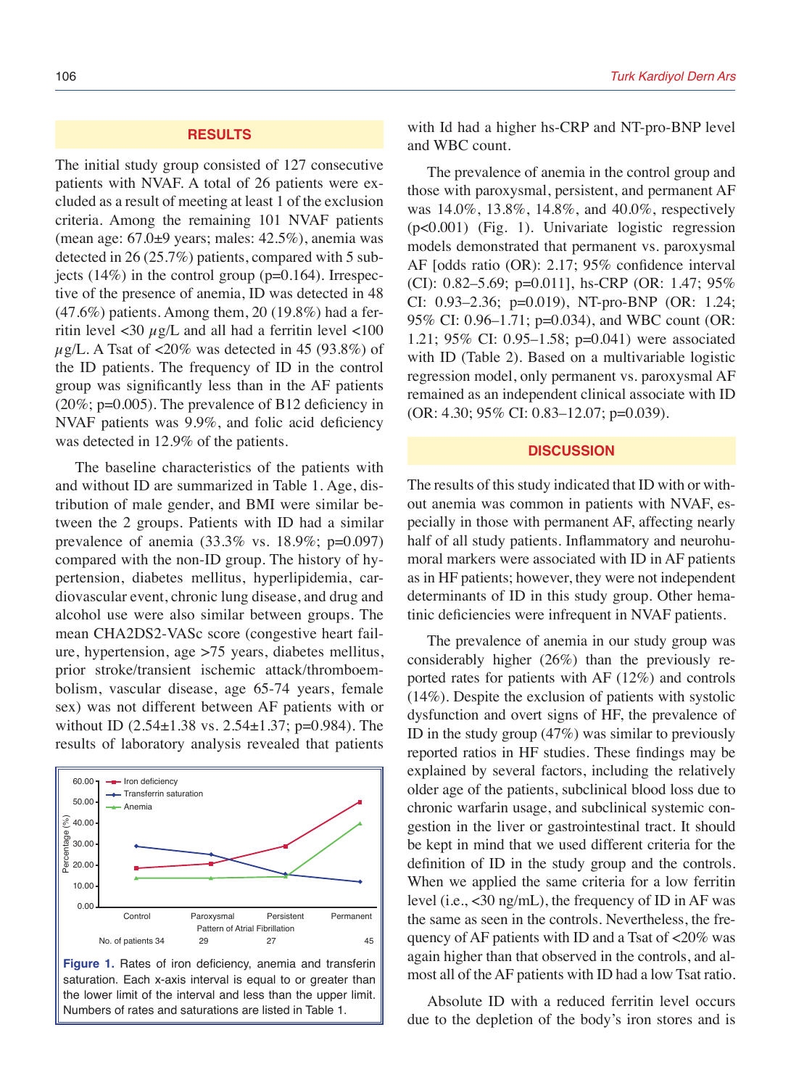#### **RESULTS**

The initial study group consisted of 127 consecutive patients with NVAF. A total of 26 patients were excluded as a result of meeting at least 1 of the exclusion criteria. Among the remaining 101 NVAF patients (mean age:  $67.0\pm9$  years; males:  $42.5\%$ ), anemia was detected in 26 (25.7%) patients, compared with 5 subjects  $(14\%)$  in the control group ( $p=0.164$ ). Irrespective of the presence of anemia, ID was detected in 48 (47.6%) patients. Among them, 20 (19.8%) had a ferritin level  $\langle 30 \mu g/L \rangle$  and all had a ferritin level  $\langle 100 \rangle$  $\mu$ g/L. A Tsat of <20% was detected in 45 (93.8%) of the ID patients. The frequency of ID in the control group was significantly less than in the AF patients (20%; p=0.005). The prevalence of B12 deficiency in NVAF patients was 9.9%, and folic acid deficiency was detected in 12.9% of the patients.

The baseline characteristics of the patients with and without ID are summarized in Table 1. Age, distribution of male gender, and BMI were similar between the 2 groups. Patients with ID had a similar prevalence of anemia (33.3% vs. 18.9%; p=0.097) compared with the non-ID group. The history of hypertension, diabetes mellitus, hyperlipidemia, cardiovascular event, chronic lung disease, and drug and alcohol use were also similar between groups. The mean CHA2DS2-VASc score (congestive heart failure, hypertension, age >75 years, diabetes mellitus, prior stroke/transient ischemic attack/thromboembolism, vascular disease, age 65-74 years, female sex) was not different between AF patients with or without ID  $(2.54 \pm 1.38 \text{ vs. } 2.54 \pm 1.37; \text{ p=0.984}).$  The results of laboratory analysis revealed that patients





with Id had a higher hs-CRP and NT-pro-BNP level and WBC count.

The prevalence of anemia in the control group and those with paroxysmal, persistent, and permanent AF was 14.0%, 13.8%, 14.8%, and 40.0%, respectively (p<0.001) (Fig. 1). Univariate logistic regression models demonstrated that permanent vs. paroxysmal AF [odds ratio (OR): 2.17; 95% confidence interval (CI): 0.82–5.69; p=0.011], hs-CRP (OR: 1.47; 95% CI: 0.93–2.36; p=0.019), NT-pro-BNP (OR: 1.24; 95% CI: 0.96–1.71; p=0.034), and WBC count (OR: 1.21; 95% CI: 0.95–1.58; p=0.041) were associated with ID (Table 2). Based on a multivariable logistic regression model, only permanent vs. paroxysmal AF remained as an independent clinical associate with ID (OR: 4.30; 95% CI: 0.83–12.07; p=0.039).

## **DISCUSSION**

The results of this study indicated that ID with or without anemia was common in patients with NVAF, especially in those with permanent AF, affecting nearly half of all study patients. Inflammatory and neurohumoral markers were associated with ID in AF patients as in HF patients; however, they were not independent determinants of ID in this study group. Other hematinic deficiencies were infrequent in NVAF patients.

The prevalence of anemia in our study group was considerably higher (26%) than the previously reported rates for patients with AF (12%) and controls (14%). Despite the exclusion of patients with systolic dysfunction and overt signs of HF, the prevalence of ID in the study group  $(47%)$  was similar to previously reported ratios in HF studies. These findings may be explained by several factors, including the relatively older age of the patients, subclinical blood loss due to chronic warfarin usage, and subclinical systemic congestion in the liver or gastrointestinal tract. It should be kept in mind that we used different criteria for the definition of ID in the study group and the controls. When we applied the same criteria for a low ferritin level (i.e., <30 ng/mL), the frequency of ID in AF was the same as seen in the controls. Nevertheless, the frequency of AF patients with ID and a Tsat of <20% was again higher than that observed in the controls, and almost all of the AF patients with ID had a low Tsat ratio.

Absolute ID with a reduced ferritin level occurs due to the depletion of the body's iron stores and is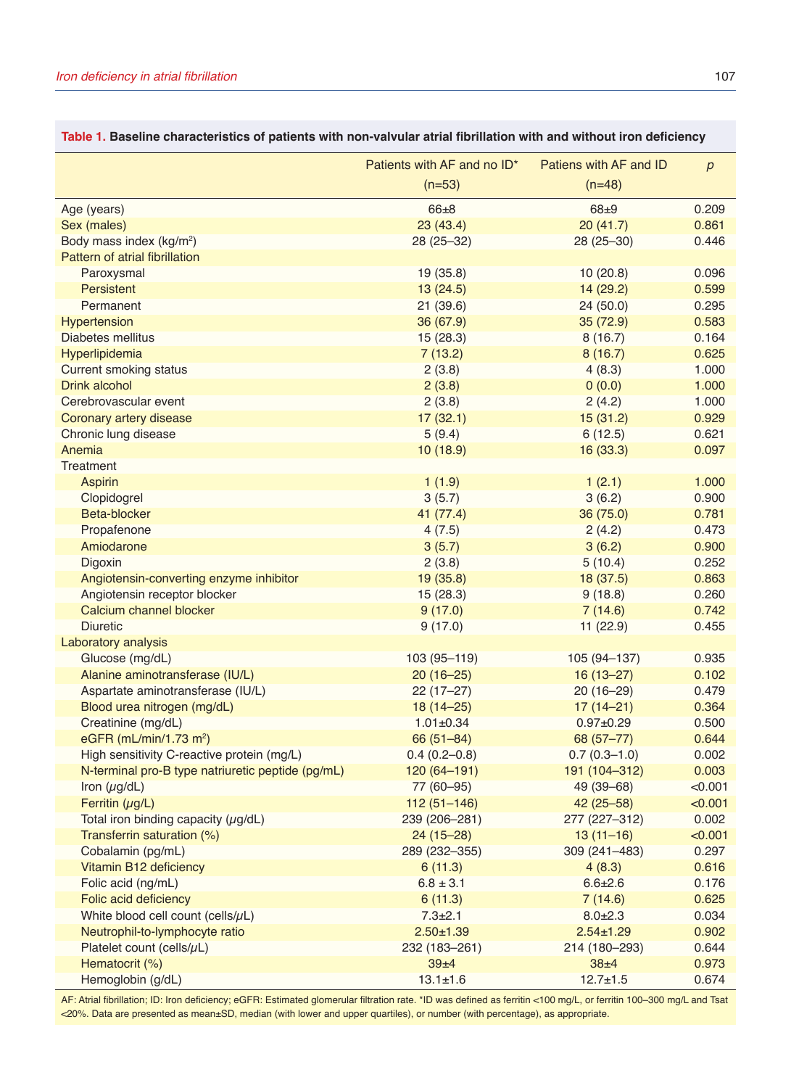|                                                   | Patients with AF and no ID*<br>Patiens with AF and ID |                  |         |
|---------------------------------------------------|-------------------------------------------------------|------------------|---------|
|                                                   | $(n=53)$                                              | $(n=48)$         |         |
| Age (years)                                       | $66 + 8$                                              | $68 + 9$         | 0.209   |
| Sex (males)                                       | 23(43.4)                                              | 20(41.7)         | 0.861   |
| Body mass index (kg/m <sup>2</sup> )              | 28 (25-32)                                            | 28 (25-30)       | 0.446   |
| Pattern of atrial fibrillation                    |                                                       |                  |         |
| Paroxysmal                                        | 19 (35.8)                                             | 10(20.8)         | 0.096   |
| Persistent                                        | 13(24.5)                                              | 14 (29.2)        | 0.599   |
| Permanent                                         | 21 (39.6)                                             | 24(50.0)         | 0.295   |
| Hypertension                                      | 36 (67.9)                                             | 35 (72.9)        | 0.583   |
| Diabetes mellitus                                 | 15 (28.3)                                             | 8(16.7)          | 0.164   |
| Hyperlipidemia                                    | 7(13.2)                                               | 8(16.7)          | 0.625   |
| <b>Current smoking status</b>                     | 2(3.8)                                                | 4(8.3)           | 1.000   |
| Drink alcohol                                     | 2(3.8)                                                | 0(0.0)           | 1.000   |
| Cerebrovascular event                             | 2(3.8)                                                | 2(4.2)           | 1.000   |
| Coronary artery disease                           | 17(32.1)                                              | 15(31.2)         | 0.929   |
| Chronic lung disease                              | 5(9.4)                                                | 6(12.5)          | 0.621   |
| Anemia                                            | 10(18.9)                                              | 16 (33.3)        | 0.097   |
| Treatment                                         |                                                       |                  |         |
| <b>Aspirin</b>                                    | 1(1.9)                                                | 1(2.1)           | 1.000   |
| Clopidogrel                                       | 3(5.7)                                                | 3(6.2)           | 0.900   |
| Beta-blocker                                      | 41 (77.4)                                             | 36 (75.0)        | 0.781   |
| Propafenone                                       | 4(7.5)                                                | 2(4.2)           | 0.473   |
| Amiodarone                                        | 3(5.7)                                                | 3(6.2)           | 0.900   |
| Digoxin                                           | 2(3.8)                                                | 5(10.4)          | 0.252   |
| Angiotensin-converting enzyme inhibitor           | 19 (35.8)                                             | 18 (37.5)        | 0.863   |
| Angiotensin receptor blocker                      | 15 (28.3)                                             | 9(18.8)          | 0.260   |
| Calcium channel blocker                           | 9(17.0)                                               | 7(14.6)          | 0.742   |
| <b>Diuretic</b>                                   | 9(17.0)                                               | 11 (22.9)        | 0.455   |
| Laboratory analysis                               |                                                       |                  |         |
| Glucose (mg/dL)                                   | 103 (95-119)                                          | 105 (94-137)     | 0.935   |
| Alanine aminotransferase (IU/L)                   | $20(16-25)$                                           | $16(13 - 27)$    | 0.102   |
| Aspartate aminotransferase (IU/L)                 | $22(17-27)$                                           | $20(16-29)$      | 0.479   |
| Blood urea nitrogen (mg/dL)                       | $18(14 - 25)$                                         | $17(14 - 21)$    | 0.364   |
| Creatinine (mg/dL)                                | $1.01 \pm 0.34$                                       | $0.97 \pm 0.29$  | 0.500   |
| eGFR (mL/min/1.73 m <sup>2</sup> )                | $66(51 - 84)$                                         | 68 (57-77)       | 0.644   |
| High sensitivity C-reactive protein (mg/L)        | $0.4(0.2 - 0.8)$                                      | $0.7(0.3 - 1.0)$ | 0.002   |
| N-terminal pro-B type natriuretic peptide (pg/mL) | 120 (64-191)                                          | 191 (104-312)    | 0.003   |
| Iron $(\mu g/dL)$                                 | 77 (60-95)                                            | 49 (39-68)       | < 0.001 |
| Ferritin $(\mu g/L)$                              | $112(51 - 146)$                                       | $42(25 - 58)$    | < 0.001 |
| Total iron binding capacity $(\mu g/dL)$          | 239 (206-281)                                         | 277 (227-312)    | 0.002   |
| Transferrin saturation (%)                        | $24(15-28)$                                           | $13(11-16)$      | < 0.001 |
| Cobalamin (pg/mL)                                 | 289 (232-355)                                         | 309 (241-483)    | 0.297   |
| Vitamin B12 deficiency                            | 6(11.3)                                               | 4(8.3)           | 0.616   |
| Folic acid (ng/mL)                                | $6.8 \pm 3.1$                                         | $6.6 \pm 2.6$    | 0.176   |
| Folic acid deficiency                             | 6(11.3)                                               | 7(14.6)          | 0.625   |
| White blood cell count (cells/ $\mu$ L)           | $7.3 \pm 2.1$                                         | $8.0 + 2.3$      | 0.034   |
| Neutrophil-to-lymphocyte ratio                    | $2.50 + 1.39$                                         | $2.54 \pm 1.29$  | 0.902   |
| Platelet count (cells/ $\mu$ L)                   | 232 (183-261)                                         | 214 (180-293)    | 0.644   |
| Hematocrit (%)                                    | 39±4                                                  | $38 + 4$         | 0.973   |
| Hemoglobin (g/dL)                                 | $13.1 \pm 1.6$                                        | $12.7 \pm 1.5$   | 0.674   |

# **Table 1. Baseline characteristics of patients with non-valvular atrial fibrillation with and without iron deficiency**

AF: Atrial fibrillation; ID: Iron deficiency; eGFR: Estimated glomerular filtration rate. \*ID was defined as ferritin <100 mg/L, or ferritin 100–300 mg/L and Tsat <20%. Data are presented as mean±SD, median (with lower and upper quartiles), or number (with percentage), as appropriate.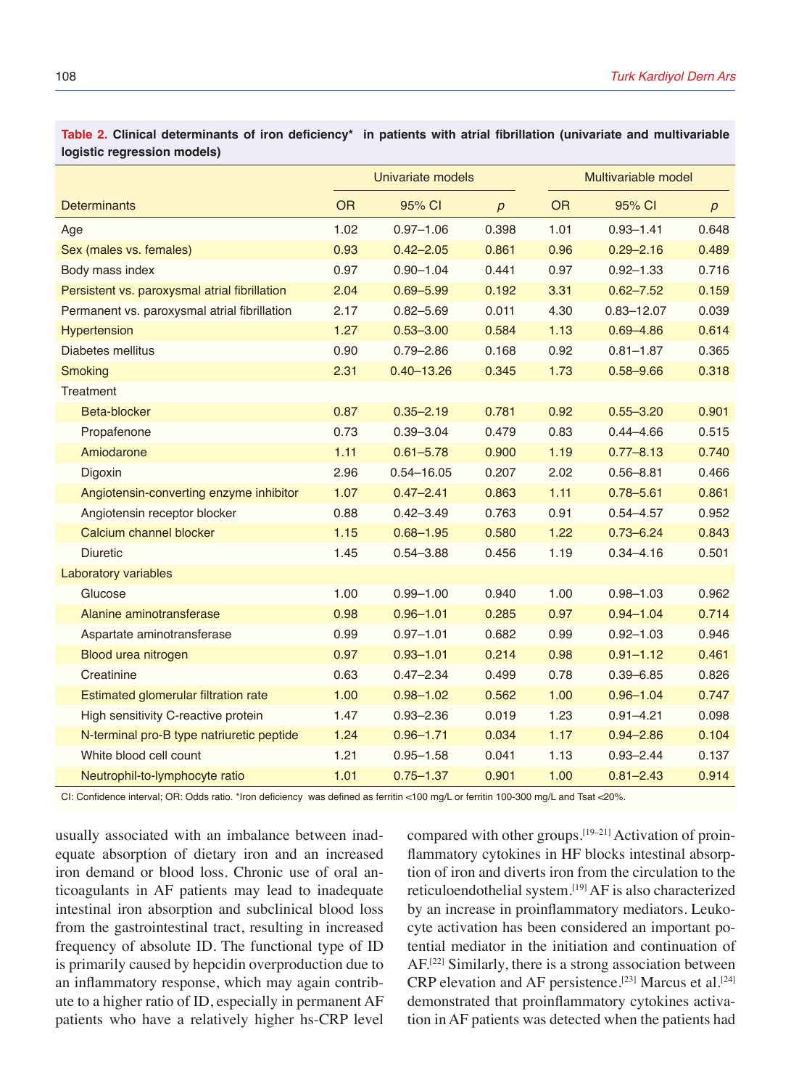**Table 2. Clinical determinants of iron deficiency\* in patients with atrial fibrillation (univariate and multivariable logistic regression models)**

|                                               |           | Univariate models |       |           | Multivariable model |                  |  |
|-----------------------------------------------|-----------|-------------------|-------|-----------|---------------------|------------------|--|
| Determinants                                  | <b>OR</b> | 95% CI            | p     | <b>OR</b> | 95% CI              | $\boldsymbol{p}$ |  |
| Age                                           | 1.02      | $0.97 - 1.06$     | 0.398 | 1.01      | $0.93 - 1.41$       | 0.648            |  |
| Sex (males vs. females)                       | 0.93      | $0.42 - 2.05$     | 0.861 | 0.96      | $0.29 - 2.16$       | 0.489            |  |
| Body mass index                               | 0.97      | $0.90 - 1.04$     | 0.441 | 0.97      | $0.92 - 1.33$       | 0.716            |  |
| Persistent vs. paroxysmal atrial fibrillation | 2.04      | $0.69 - 5.99$     | 0.192 | 3.31      | $0.62 - 7.52$       | 0.159            |  |
| Permanent vs. paroxysmal atrial fibrillation  | 2.17      | $0.82 - 5.69$     | 0.011 | 4.30      | $0.83 - 12.07$      | 0.039            |  |
| <b>Hypertension</b>                           | 1.27      | $0.53 - 3.00$     | 0.584 | 1.13      | $0.69 - 4.86$       | 0.614            |  |
| Diabetes mellitus                             | 0.90      | $0.79 - 2.86$     | 0.168 | 0.92      | $0.81 - 1.87$       | 0.365            |  |
| Smoking                                       | 2.31      | $0.40 - 13.26$    | 0.345 | 1.73      | $0.58 - 9.66$       | 0.318            |  |
| Treatment                                     |           |                   |       |           |                     |                  |  |
| Beta-blocker                                  | 0.87      | $0.35 - 2.19$     | 0.781 | 0.92      | $0.55 - 3.20$       | 0.901            |  |
| Propafenone                                   | 0.73      | $0.39 - 3.04$     | 0.479 | 0.83      | $0.44 - 4.66$       | 0.515            |  |
| Amiodarone                                    | 1.11      | $0.61 - 5.78$     | 0.900 | 1.19      | $0.77 - 8.13$       | 0.740            |  |
| Digoxin                                       | 2.96      | $0.54 - 16.05$    | 0.207 | 2.02      | $0.56 - 8.81$       | 0.466            |  |
| Angiotensin-converting enzyme inhibitor       | 1.07      | $0.47 - 2.41$     | 0.863 | 1.11      | $0.78 - 5.61$       | 0.861            |  |
| Angiotensin receptor blocker                  | 0.88      | $0.42 - 3.49$     | 0.763 | 0.91      | $0.54 - 4.57$       | 0.952            |  |
| Calcium channel blocker                       | 1.15      | $0.68 - 1.95$     | 0.580 | 1.22      | $0.73 - 6.24$       | 0.843            |  |
| <b>Diuretic</b>                               | 1.45      | $0.54 - 3.88$     | 0.456 | 1.19      | $0.34 - 4.16$       | 0.501            |  |
| Laboratory variables                          |           |                   |       |           |                     |                  |  |
| Glucose                                       | 1.00      | $0.99 - 1.00$     | 0.940 | 1.00      | $0.98 - 1.03$       | 0.962            |  |
| Alanine aminotransferase                      | 0.98      | $0.96 - 1.01$     | 0.285 | 0.97      | $0.94 - 1.04$       | 0.714            |  |
| Aspartate aminotransferase                    | 0.99      | $0.97 - 1.01$     | 0.682 | 0.99      | $0.92 - 1.03$       | 0.946            |  |
| Blood urea nitrogen                           | 0.97      | $0.93 - 1.01$     | 0.214 | 0.98      | $0.91 - 1.12$       | 0.461            |  |
| Creatinine                                    | 0.63      | $0.47 - 2.34$     | 0.499 | 0.78      | $0.39 - 6.85$       | 0.826            |  |
| Estimated glomerular filtration rate          | 1.00      | $0.98 - 1.02$     | 0.562 | 1.00      | $0.96 - 1.04$       | 0.747            |  |
| High sensitivity C-reactive protein           | 1.47      | $0.93 - 2.36$     | 0.019 | 1.23      | $0.91 - 4.21$       | 0.098            |  |
| N-terminal pro-B type natriuretic peptide     | 1.24      | $0.96 - 1.71$     | 0.034 | 1.17      | $0.94 - 2.86$       | 0.104            |  |
| White blood cell count                        | 1.21      | $0.95 - 1.58$     | 0.041 | 1.13      | $0.93 - 2.44$       | 0.137            |  |
| Neutrophil-to-lymphocyte ratio                | 1.01      | $0.75 - 1.37$     | 0.901 | 1.00      | $0.81 - 2.43$       | 0.914            |  |

CI: Confidence interval; OR: Odds ratio. \*Iron deficiency was defined as ferritin <100 mg/L or ferritin 100-300 mg/L and Tsat <20%.

usually associated with an imbalance between inadequate absorption of dietary iron and an increased iron demand or blood loss. Chronic use of oral anticoagulants in AF patients may lead to inadequate intestinal iron absorption and subclinical blood loss from the gastrointestinal tract, resulting in increased frequency of absolute ID. The functional type of ID is primarily caused by hepcidin overproduction due to an inflammatory response, which may again contribute to a higher ratio of ID, especially in permanent AF patients who have a relatively higher hs-CRP level

compared with other groups.[19–21] Activation of proinflammatory cytokines in HF blocks intestinal absorption of iron and diverts iron from the circulation to the reticuloendothelial system.[19] AF is also characterized by an increase in proinflammatory mediators. Leukocyte activation has been considered an important potential mediator in the initiation and continuation of AF.[22] Similarly, there is a strong association between CRP elevation and AF persistence.[23] Marcus et al.[24] demonstrated that proinflammatory cytokines activation in AF patients was detected when the patients had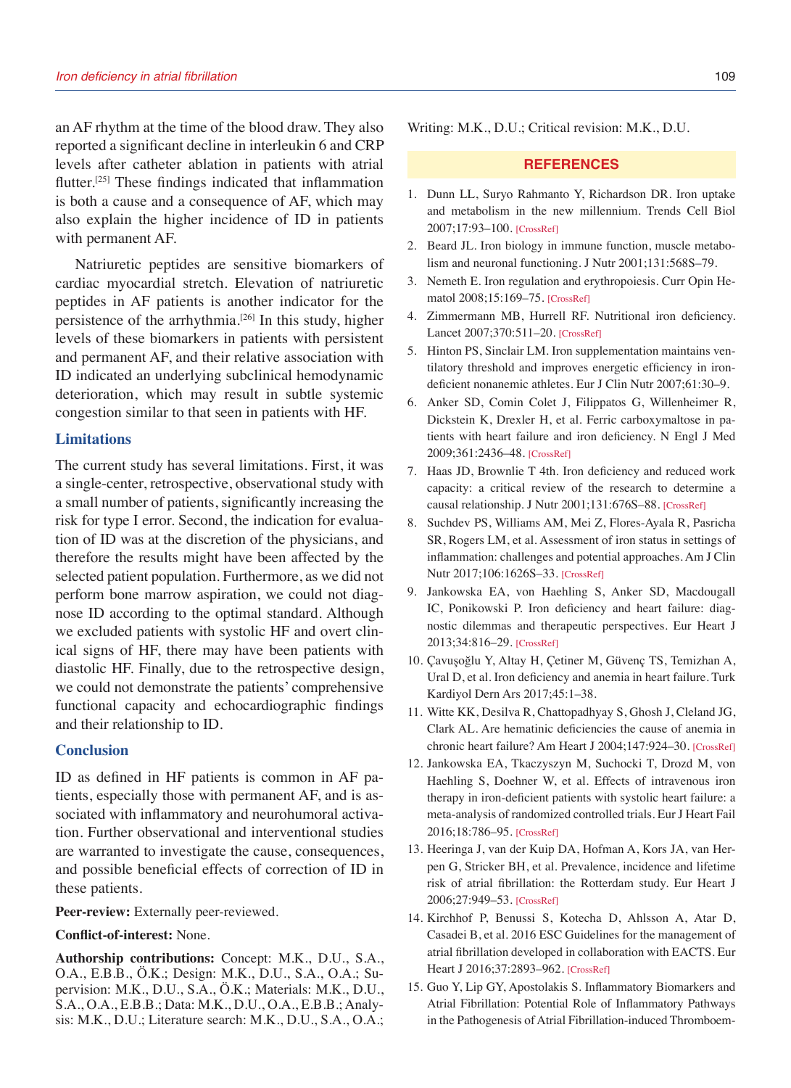an AF rhythm at the time of the blood draw. They also reported a significant decline in interleukin 6 and CRP levels after catheter ablation in patients with atrial flutter.[25] These findings indicated that inflammation is both a cause and a consequence of AF, which may also explain the higher incidence of ID in patients with permanent AF.

Natriuretic peptides are sensitive biomarkers of cardiac myocardial stretch. Elevation of natriuretic peptides in AF patients is another indicator for the persistence of the arrhythmia.<sup>[26]</sup> In this study, higher levels of these biomarkers in patients with persistent and permanent AF, and their relative association with ID indicated an underlying subclinical hemodynamic deterioration, which may result in subtle systemic congestion similar to that seen in patients with HF.

#### **Limitations**

The current study has several limitations. First, it was a single-center, retrospective, observational study with a small number of patients, significantly increasing the risk for type I error. Second, the indication for evaluation of ID was at the discretion of the physicians, and therefore the results might have been affected by the selected patient population. Furthermore, as we did not perform bone marrow aspiration, we could not diagnose ID according to the optimal standard. Although we excluded patients with systolic HF and overt clinical signs of HF, there may have been patients with diastolic HF. Finally, due to the retrospective design, we could not demonstrate the patients' comprehensive functional capacity and echocardiographic findings and their relationship to ID.

### **Conclusion**

ID as defined in HF patients is common in AF patients, especially those with permanent AF, and is associated with inflammatory and neurohumoral activation. Further observational and interventional studies are warranted to investigate the cause, consequences, and possible beneficial effects of correction of ID in these patients.

**Peer-review:** Externally peer-reviewed.

#### **Conflict-of-interest:** None.

**Authorship contributions:** Concept: M.K., D.U., S.A., O.A., E.B.B., Ö.K.; Design: M.K., D.U., S.A., O.A.; Supervision: M.K., D.U., S.A., Ö.K.; Materials: M.K., D.U., S.A., O.A., E.B.B.; Data: M.K., D.U., O.A., E.B.B.; Analysis: M.K., D.U.; Literature search: M.K., D.U., S.A., O.A.; Writing: M.K., D.U.; Critical revision: M.K., D.U.

### **REFERENCES**

- 1. Dunn LL, Suryo Rahmanto Y, Richardson DR. Iron uptake and metabolism in the new millennium. Trends Cell Biol 2007;17:93–100. [\[CrossRef\]](https://doi.org/10.1016/j.tcb.2006.12.003)
- 2. Beard JL. Iron biology in immune function, muscle metabolism and neuronal functionin[g. J Nutr 2001;131:568S–79.](https://doi.org/10.1093/jn/131.2.568S)
- 3. Nemeth E. Iron regulation and erythropoiesis. Curr Opin Hematol 2008;15:169–75. [\[CrossRef\]](https://doi.org/10.1097/MOH.0b013e3282f73335)
- 4. Zimmermann MB, Hurrell RF. Nutritional iron deficiency. Lancet 2007;370:511–20. [\[CrossRef\]](https://doi.org/10.1016/S0140-6736(07)61235-5)
- 5. Hinton PS, Sinclair LM. Iron supplementation maintains ventilatory threshold and improves energetic efficiency in irondeficient nonanemic athletes[. Eur J Clin Nutr 2007;61:30–9.](https://doi.org/10.1038/sj.ejcn.1602479)
- 6. Anker SD, Comin Colet J, Filippatos G, Willenheimer R, Dickstein K, Drexler H, et al. Ferric carboxymaltose in patients with heart failure and iron deficiency. N Engl J Med 2009;361:2436–48. [\[CrossRef\]](https://doi.org/10.1056/NEJMoa0908355)
- 7. Haas JD, Brownlie T 4th. Iron deficiency and reduced work capacity: a critical review of the research to determine a causal relationship. J Nutr 2001;131:676S–88. [\[CrossRef\]](https://doi.org/10.1093/jn/131.2.676S)
- 8. Suchdev PS, Williams AM, Mei Z, Flores-Ayala R, Pasricha SR, Rogers LM, et al. Assessment of iron status in settings of inflammation: challenges and potential approaches. Am J Clin Nutr 2017;106:1626S–33. [\[CrossRef\]](https://doi.org/10.3945/ajcn.117.155937)
- 9. Jankowska EA, von Haehling S, Anker SD, Macdougall IC, Ponikowski P. Iron deficiency and heart failure: diagnostic dilemmas and therapeutic perspectives. Eur Heart J 2013;34:816–29. [\[CrossRef\]](https://doi.org/10.1093/eurheartj/ehs224)
- 10. Çavuşoğlu Y, Altay H, Çetiner M, Güvenç TS, Temizhan A, Ural D, et al. Iron deficiency and anemia in heart failure. Turk Kardiyol Dern Ars 2017;45:1–38.
- 11. Witte KK, Desilva R, Chattopadhyay S, Ghosh J, Cleland JG, Clark AL. Are hematinic deficiencies the cause of anemia in chronic heart failure? Am Heart J 2004;147:924–30. [\[CrossRef\]](https://doi.org/10.1016/j.ahj.2003.11.007)
- 12. Jankowska EA, Tkaczyszyn M, Suchocki T, Drozd M, von Haehling S, Doehner W, et al. Effects of intravenous iron therapy in iron-deficient patients with systolic heart failure: a meta-analysis of randomized controlled trials. Eur J Heart Fail 2016;18:786–95. [\[CrossRef\]](https://doi.org/10.1002/ejhf.473)
- 13. Heeringa J, van der Kuip DA, Hofman A, Kors JA, van Herpen G, Stricker BH, et al. Prevalence, incidence and lifetime risk of atrial fibrillation: the Rotterdam study. Eur Heart J 2006;27:949–53. [\[CrossRef\]](https://doi.org/10.1093/eurheartj/ehi825)
- 14. Kirchhof P, Benussi S, Kotecha D, Ahlsson A, Atar D, Casadei B, et al. 2016 ESC Guidelines for the management of atrial fibrillation developed in collaboration with EACTS. Eur Heart J 2016;37:2893–962. [\[CrossRef\]](https://doi.org/10.1093/eurheartj/ehw210)
- 15. Guo Y, Lip GY, Apostolakis S. Inflammatory Biomarkers and Atrial Fibrillation: Potential Role of Inflammatory Pathways in the Pathogenesis of Atrial Fibrillation-induced Thromboem-